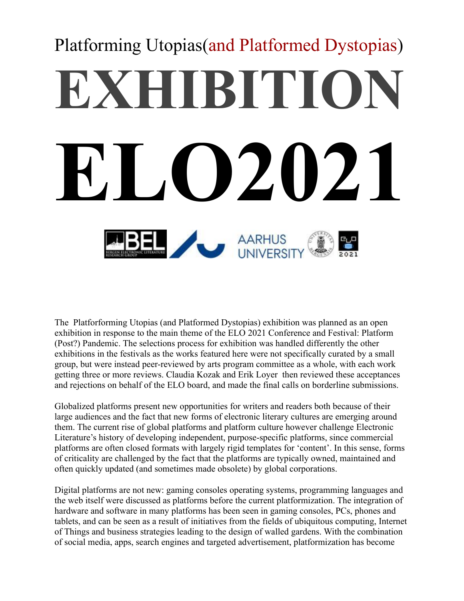# Platforming Utopias(and Platformed Dystopias) **EXHIBITION ELO2021** AARHUS

The Platforforming Utopias (and Platformed Dystopias) exhibition was planned as an open exhibition in response to the main theme of the ELO 2021 Conference and Festival: Platform (Post?) Pandemic. The selections process for exhibition was handled differently the other exhibitions in the festivals as the works featured here were not specifically curated by a small group, but were instead peer-reviewed by arts program committee as a whole, with each work getting three or more reviews. Claudia Kozak and Erik Loyer then reviewed these acceptances and rejections on behalf of the ELO board, and made the final calls on borderline submissions.

Globalized platforms present new opportunities for writers and readers both because of their large audiences and the fact that new forms of electronic literary cultures are emerging around them. The current rise of global platforms and platform culture however challenge Electronic Literature's history of developing independent, purpose-specific platforms, since commercial platforms are often closed formats with largely rigid templates for 'content'. In this sense, forms of criticality are challenged by the fact that the platforms are typically owned, maintained and often quickly updated (and sometimes made obsolete) by global corporations.

Digital platforms are not new: gaming consoles operating systems, programming languages and the web itself were discussed as platforms before the current platformization. The integration of hardware and software in many platforms has been seen in gaming consoles, PCs, phones and tablets, and can be seen as a result of initiatives from the fields of ubiquitous computing, Internet of Things and business strategies leading to the design of walled gardens. With the combination of social media, apps, search engines and targeted advertisement, platformization has become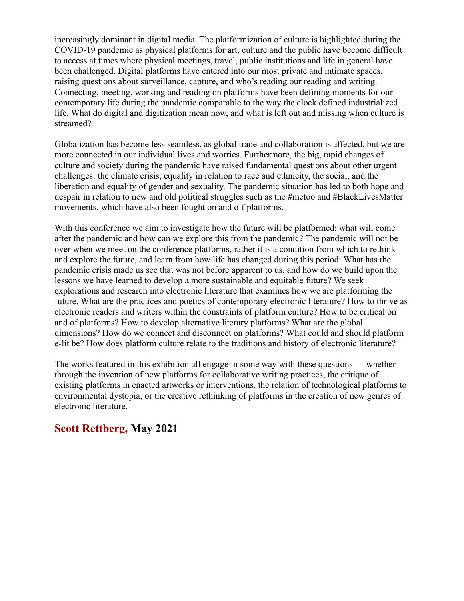increasingly dominant in digital media. The platformization of culture is highlighted during the COVID-19 pandemic as physical platforms for art, culture and the public have become difficult to access at times where physical meetings, travel, public institutions and life in general have been challenged. Digital platforms have entered into our most private and intimate spaces, raising questions about surveillance, capture, and who's reading our reading and writing. Connecting, meeting, working and reading on platforms have been defining moments for our contemporary life during the pandemic comparable to the way the clock defined industrialized life. What do digital and digitization mean now, and what is left out and missing when culture is streamed?

Globalization has become less seamless, as global trade and collaboration is affected, but we are more connected in our individual lives and worries. Furthermore, the big, rapid changes of culture and society during the pandemic have raised fundamental questions about other urgent challenges: the climate crisis, equality in relation to race and ethnicity, the social, and the liberation and equality of gender and sexuality. The pandemic situation has led to both hope and despair in relation to new and old political struggles such as the #metoo and #BlackLivesMatter movements, which have also been fought on and off platforms.

With this conference we aim to investigate how the future will be platformed: what will come after the pandemic and how can we explore this from the pandemic? The pandemic will not be over when we meet on the conference platforms, rather it is a condition from which to rethink and explore the future, and learn from how life has changed during this period: What has the pandemic crisis made us see that was not before apparent to us, and how do we build upon the lessons we have learned to develop a more sustainable and equitable future? We seek explorations and research into electronic literature that examines how we are platforming the future. What are the practices and poetics of contemporary electronic literature? How to thrive as electronic readers and writers within the constraints of platform culture? How to be critical on and of platforms? How to develop alternative literary platforms? What are the global dimensions? How do we connect and disconnect on platforms? What could and should platform e-lit be? How does platform culture relate to the traditions and history of electronic literature?

The works featured in this exhibition all engage in some way with these questions — whether through the invention of new platforms for collaborative writing practices, the critique of existing platforms in enacted artworks or interventions, the relation of technological platforms to environmental dystopia, or the creative rethinking of platforms in the creation of new genres of electronic literature.

# **Scott Rettberg, May 2021**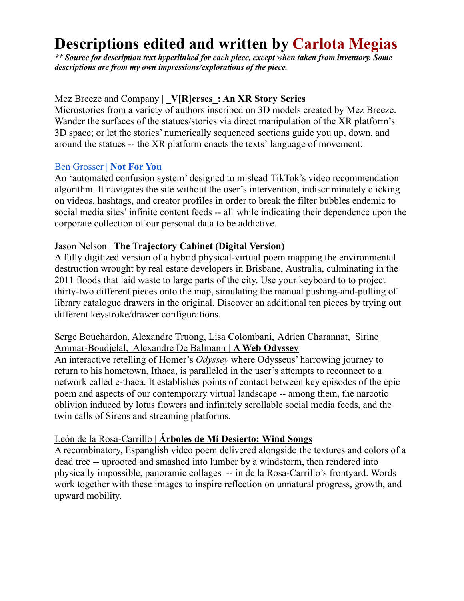# **Descriptions edited and written by Carlota Megias**

*\*\* Source for description text hyperlinked for each piece, except when taken from inventory. Some descriptions are from my own impressions/explorations of the piece.*

## Mez Breeze and Company | **\_V[R]erses\_: An XR Story Series**

Microstories from a variety of authors inscribed on 3D models created by Mez Breeze. Wander the surfaces of the statues/stories via direct manipulation of the XR platform's 3D space; or let the stories' numerically sequenced sections guide you up, down, and around the statues -- the XR platform enacts the texts' language of movement.

#### Ben [Grosser](https://bengrosser.com/projects/not-for-you/) | **Not For You**

An 'automated confusion system' designed to mislead TikTok's video recommendation algorithm. It navigates the site without the user's intervention, indiscriminately clicking on videos, hashtags, and creator profiles in order to break the filter bubbles endemic to social media sites' infinite content feeds -- all while indicating their dependence upon the corporate collection of our personal data to be addictive.

#### Jason Nelson | **The Trajectory Cabinet (Digital Version)**

A fully digitized version of a hybrid physical-virtual poem mapping the environmental destruction wrought by real estate developers in Brisbane, Australia, culminating in the 2011 floods that laid waste to large parts of the city. Use your keyboard to to project thirty-two different pieces onto the map, simulating the manual pushing-and-pulling of library catalogue drawers in the original. Discover an additional ten pieces by trying out different keystroke/drawer configurations.

#### Serge Bouchardon, Alexandre Truong, Lisa Colombani, Adrien Charannat, Sirine Ammar-Boudjelal, Alexandre De Balmann | **A Web Odyssey**

An interactive retelling of Homer's *Odyssey* where Odysseus' harrowing journey to return to his hometown, Ithaca, is paralleled in the user's attempts to reconnect to a network called e-thaca. It establishes points of contact between key episodes of the epic poem and aspects of our contemporary virtual landscape -- among them, the narcotic oblivion induced by lotus flowers and infinitely scrollable social media feeds, and the twin calls of Sirens and streaming platforms.

#### León de la Rosa-Carrillo | **Árboles de Mi Desierto: Wind Songs**

A recombinatory, Espanglish video poem delivered alongside the textures and colors of a dead tree -- uprooted and smashed into lumber by a windstorm, then rendered into physically impossible, panoramic collages -- in de la Rosa-Carrillo's frontyard. Words work together with these images to inspire reflection on unnatural progress, growth, and upward mobility.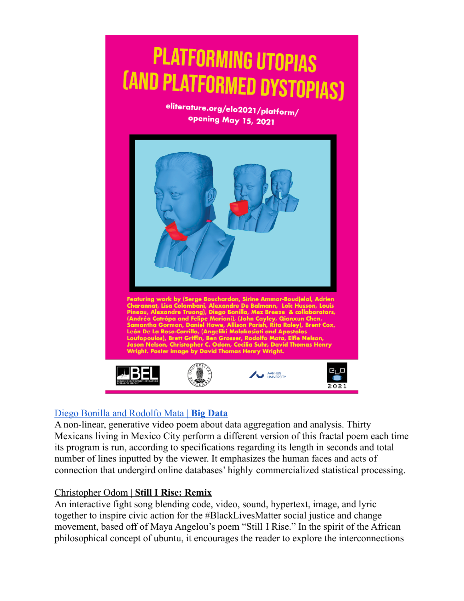

# Diego Bonilla and [Rodolfo](https://www.modular.film/bigdataenglish) Mata | **Big Data**

A non-linear, generative video poem about data aggregation and analysis. Thirty Mexicans living in Mexico City perform a different version of this fractal poem each time its program is run, according to specifications regarding its length in seconds and total number of lines inputted by the viewer. It emphasizes the human faces and acts of connection that undergird online databases' highly commercialized statistical processing.

#### Christopher Odom | **Still I Rise: Remix**

An interactive fight song blending code, video, sound, hypertext, image, and lyric together to inspire civic action for the #BlackLivesMatter social justice and change movement, based off of Maya Angelou's poem "Still I Rise." In the spirit of the African philosophical concept of ubuntu, it encourages the reader to explore the interconnections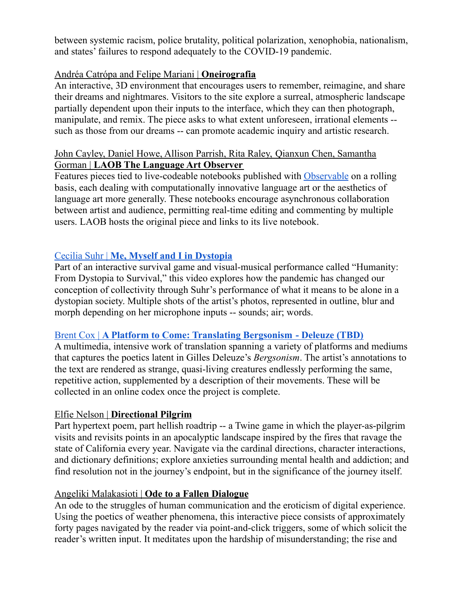between systemic racism, police brutality, political polarization, xenophobia, nationalism, and states' failures to respond adequately to the COVID-19 pandemic.

# Andréa Catrópa and Felipe Mariani | **Oneirografia**

An interactive, 3D environment that encourages users to remember, reimagine, and share their dreams and nightmares. Visitors to the site explore a surreal, atmospheric landscape partially dependent upon their inputs to the interface, which they can then photograph, manipulate, and remix. The piece asks to what extent unforeseen, irrational elements - such as those from our dreams -- can promote academic inquiry and artistic research.

#### John Cayley, Daniel Howe, Allison Parrish, Rita Raley, Qianxun Chen, Samantha Gorman | **LAOB The Language Art Observer**

Features pieces tied to live-codeable notebooks published with [Observable](https://observablehq.com/) on a rolling basis, each dealing with computationally innovative language art or the aesthetics of language art more generally. These notebooks encourage asynchronous collaboration between artist and audience, permitting real-time editing and commenting by multiple users. LAOB hosts the original piece and links to its live notebook.

# Cecilia Suhr | **Me, Myself and I in [Dystopia](https://www.ceciliasuhr.com/me-myself-and-i)**

Part of an interactive survival game and visual-musical performance called "Humanity: From Dystopia to Survival," this video explores how the pandemic has changed our conception of collectivity through Suhr's performance of what it means to be alone in a dystopian society. Multiple shots of the artist's photos, represented in outline, blur and morph depending on her microphone inputs -- sounds; air; words.

#### Brent Cox | **A Platform to Come: Translating [Bergsonism](https://www.youtube.com/watch?v=MsSE2_VmqfE) - Deleuze (TBD)**

A multimedia, intensive work of translation spanning a variety of platforms and mediums that captures the poetics latent in Gilles Deleuze's *Bergsonism*. The artist's annotations to the text are rendered as strange, quasi-living creatures endlessly performing the same, repetitive action, supplemented by a description of their movements. These will be collected in an online codex once the project is complete.

# Elfie Nelson | **Directional Pilgrim**

Part hypertext poem, part hellish roadtrip -- a Twine game in which the player-as-pilgrim visits and revisits points in an apocalyptic landscape inspired by the fires that ravage the state of California every year. Navigate via the cardinal directions, character interactions, and dictionary definitions; explore anxieties surrounding mental health and addiction; and find resolution not in the journey's endpoint, but in the significance of the journey itself.

#### Angeliki Malakasioti | **Ode to a Fallen Dialogue**

An ode to the struggles of human communication and the eroticism of digital experience. Using the poetics of weather phenomena, this interactive piece consists of approximately forty pages navigated by the reader via point-and-click triggers, some of which solicit the reader's written input. It meditates upon the hardship of misunderstanding; the rise and